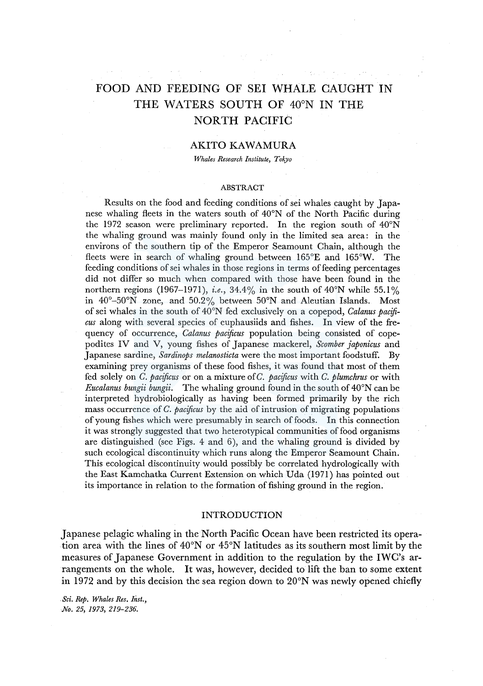# FOOD AND FEEDING OF SEI WHALE CAUGHT IN THE WATERS SOUTH OF 40°N IN THE NORTH PACIFIC

#### AKITO KAWAMURA

*Whales Research Institute, Tokyo* 

#### ABSTRACT

Results on the food and feeding conditions of sei whales caught by Japanese whaling fleets in the waters south of  $40^{\circ}$ N of the North Pacific during the 1972 season were preliminary reported. In the region south of 40°N the whaling ground was mainly found only in the limited sea area: in the environs of the southern tip of the Emperor Seamount Chain, although the fleets were in search of whaling ground between 165°E and 165°W. The feeding conditions of sei whales in those regions in terms of feeding percentages did not differ so much when compared with those have been found in the northern regions (1967–1971), *i.e.*, 34.4% in the south of 40°N while 55.1% in 40°-50°N zone, and 50.2% between 50°N and Aleutian Islands. Most of sei whales in the south of 40°N fed exclusively on a copepod, *Calanus pacificus* along with several species of euphausiids and fishes. In view of the frequency of occurrence, *Calanus pacificus* population being consisted of copepodites IV and V, young fishes of Japanese mackerel, *Scomber japonicus* and Japanese sardine, *Sardinops melanosticta* were the most important foodstuff. By examining prey organisms of these food fishes, it was found that most of them fed solely on *C. pacificus* or on a mixture of *C. pacificus* with *C. plumchrus* or with *Eucalanus bungii bungii.* The whaling ground found in the south of 40°N can be interpreted hydrobiologically as having been formed primarily by the rich mass occurrence of *C. pacificus* by the aid of intrusion of migrating populations of young fishes which were presumably in search of foods. In this connection it was strongly suggested that two heterotypical communities of food organisms are distinguished (see Figs. 4 and 6), and the whaling ground is divided by such ecological discontinuity which runs along the Emperor Seamount Chain. This ecological discontinuity would possibly be correlated hydrologically with the East Kamchatka Current Extension on which Uda (1971) has pointed out its importance in relation to the formation of fishing ground in the region.

#### INTRODUCTION

Japanese pelagic whaling in the North Pacific Ocean have been restricted its operation area with the lines of 40°N or 45°N latitudes as its southern most limit by the measures of Japanese Government in addition to the regulation by the IWC's arrangements on the whole. It was, however, decided to lift the ban to some extent in 1972 and by this decision the sea region down to 20°N was newly opened chiefly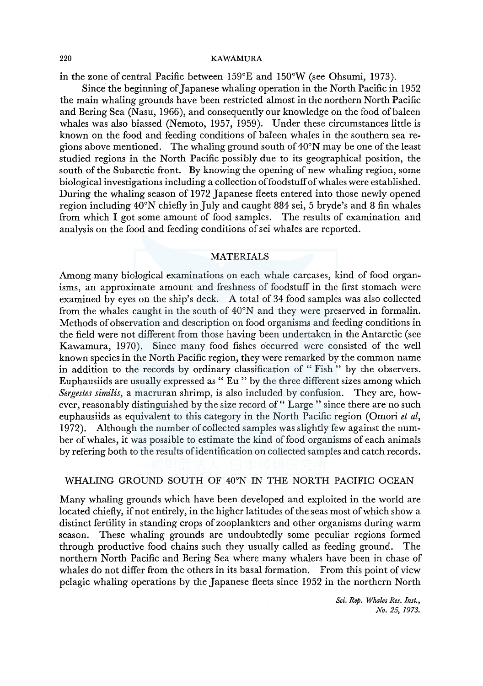in the zone of central Pacific between 159°E and 150°W (see Ohsumi, 1973).

Since the beginning of Japanese whaling operation in the North Pacific in 1952 the main whaling grounds have been restricted almost in the northern North Pacific and Bering Sea (Nasu, 1966), and consequently our knowledge on the food of baleen whales was also biassed (Nemoto, 1957, 1959). Under these circumstances little is known on the food and feeding conditions of baleen whales in the southern sea regions above mentioned. The whaling ground south of 40°N may be one of the least studied regions in the North Pacific possibly due to its geographical position, the south of the Subarctic front. By knowing the opening of new whaling region, some biological investigations including a collection of foodstuff of whales were established. During the whaling season of 1972 Japanese fleets entered into those newly opened region including 40°N chiefly in July and caught 884 sei, 5 bryde's and 8 fin whales from which I got some amount of food samples. The results of examination and analysis on the food and feeding conditions of sei whales are reported.

#### MATERIALS

Among many biological examinations on each whale carcases, kind of food organisms, an approximate amount and freshness of foodstuff in the first stomach were examined by eyes on the ship's deck. A total of 34 food samples was also collected from the whales caught in the south of 40°N and they were preserved in formalin. Methods of observation and description on food organisms and feeding conditions in the field were not different from those having been undertaken in the Antarctic (see Kawamura, 1970). Since many food fishes occurred were consisted of the well known species in the North Pacific region, they were remarked by the common name in addition to the records by ordinary classification of "Fish" by the observers. Euphausiids are usually expressed as " Eu " by the three different sizes among which *Sergestes similis,* a macruran shrimp, is also included by confusion. They are, however, reasonably distinguished by the size record of" Large" since there are no such euphausiids as equivalent to this category in the North Pacific region (Omori *et al,*  1972). Although the number of collected samples was slightly few against the number of whales, it was possible to estimate the kind of food organisms of each animals by refering both to the results of identification on collected samples and catch records.

# WHALING GROUND SOUTH OF 40°N IN THE NORTH PACIFIC OCEAN

Many whaling grounds which have been developed and exploited in the world are located chiefly, if not entirely, in the higher latitudes of the seas most of which show a distinct fertility in standing crops of zooplankters and other organisms during warm season. These whaling grounds are undoubtedly some peculiar regions formed through productive food chains such they usually called as feeding ground. The northern North Pacific and Bering Sea where many whalers have been in chase of whales do not differ from the others in its basal formation. From this point of view pelagic whaling operations by the Japanese fleets since 1952 in the northern North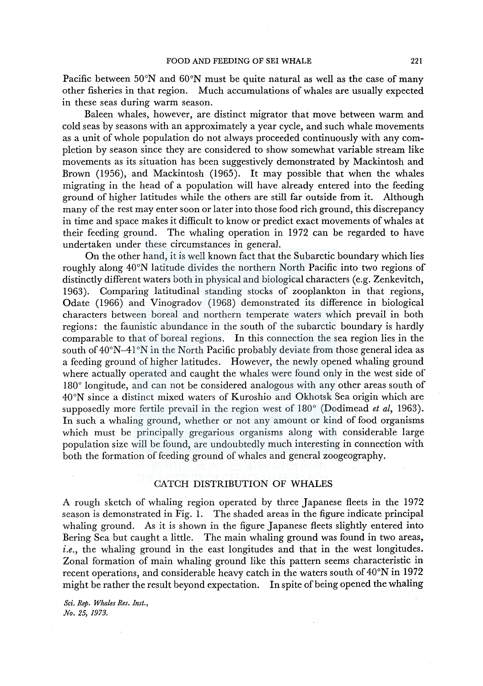Pacific between 50°N and 60°N must be quite natural as well as the case of many other fisheries in that region. Much accumulations of whales are usually expected in these seas during warm season.

Baleen whales, however, are distinct migrator that move between warm and cold seas by seasons with an approximately a year cycle, and such whale movements as a unit of whole population do not always proceeded continuously with any completion by season since they are considered to show somewhat variable stream like movements as its situation has been suggestively demonstrated by Mackintosh and Brown (1956), and Mackintosh (1965). It may possible that when the whales migrating in the head of a population will have already entered into the feeding ground of higher latitudes while the others are still far outside from it. Although many of the rest may enter soon or later into those food rich ground, this discrepancy in time and space makes it difficult to know or predict exact movements of whales at their feeding ground. The whaling operation in 1972 can be regarded to have undertaken under these circumstances in general.

On the other hand, it is well known fact that the Subarctic boundary which lies roughly along 40°N latitude divides the northern North Pacific into two regions of distinctly different waters both in physical and biological characters (e.g. Zenkevitch, 1963). Comparing latitudinal standing stocks of zooplankton in that regions, Odate (1966) and Vinogradov (1968) demonstrated its difference in biological characters between boreal and northern temperate waters which prevail in both regions: the faunistic abundance in the south of the subarctic boundary is hardly comparable to that of boreal regions. In this connection the sea region lies in the south of 40°N-41°N in the North Pacific probably deviate from those general idea as a feeding ground of higher latitudes. However, the newly opened whaling ground where actually operated and caught the whales were found only in the west side of 180° longitude, and can not be considered analogous with any other areas south of 40°N since a distinct mixed waters of Kuroshio and Okhotsk Sea origin which are supposedly more fertile prevail in the region west of 180° (Dodimead *et al,* 1963). In such a whaling ground, whether or not any amount or kind of food organisms which must be principally gregarious organisms along with considerable large population size will be found, are undoubtedly much interesting in connection with both the formation of feeding ground of whales and general zoogeography.

# CATCH DISTRIBUTION OF WHALES

A rough sketch of whaling region operated by three Japanese fleets in the 1972 season is demonstrated in Fig. 1. The shaded areas in the figure indicate principal whaling ground. As it is shown in the figure Japanese fleets slightly entered into Bering Sea but caught a little. The main whaling ground was found in two areas, *i.e.*, the whaling ground in the east longitudes and that in the west longitudes. Zonal formation of main whaling ground like this pattern seems characteristic in recent operations, and considerable heavy catch in the waters south of 40°N in 1972 might be rather the result beyond expectation. In spite of being opened the whaling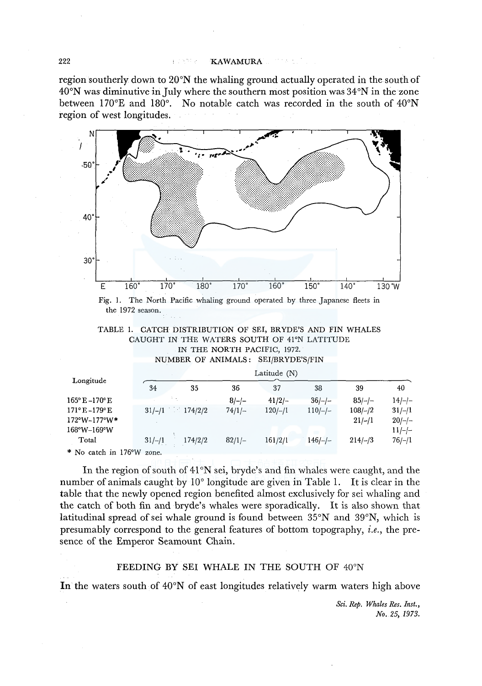region southerly down to 20°N the whaling ground actually operated in the south of 40°N was diminutive in July where the southern most position was 34°N in the zone between 170°E and 180°. No notable catch was recorded in the south of  $40^{\circ}N$ region of west longitudes.



Fig. I. The North Pacific whaling ground operated by three Japanese fleets in the 1972 season.

|  |  |                                             |  |  |  | TABLE 1. CATCH DISTRIBUTION OF SEI, BRYDE'S AND FIN WHALES |
|--|--|---------------------------------------------|--|--|--|------------------------------------------------------------|
|  |  | CAUGHT IN THE WATERS SOUTH OF 41°N LATITUDE |  |  |  |                                                            |
|  |  | IN THE NORTH PACIFIC, 1972.                 |  |  |  |                                                            |

NUMBER OF ANIMALS: SEI/BRYDE'S/FIN

|                                               | Latitude (N)        |          |           |           |                       |                      |  |  |  |
|-----------------------------------------------|---------------------|----------|-----------|-----------|-----------------------|----------------------|--|--|--|
| Longitude                                     | 34<br>35            | 36       | 37        | 38        | 39                    | 40                   |  |  |  |
| $165^{\circ}$ E $-170^{\circ}$ E              |                     | $8/-/-$  | $41/2/-$  | $36/-/-$  | $85/-/-$              | $14/-/-$             |  |  |  |
| $171^{\circ}E - 179^{\circ}E$<br>172°W-177°W* | $31/-/1$ 174/2/2    | $74/1/-$ | $120/-/1$ | $110/-/-$ | $108/-/2$<br>$21/-/1$ | $31/-/1$<br>$20/-/-$ |  |  |  |
| 168°W-169°W                                   |                     |          |           |           |                       | $11/-/-$             |  |  |  |
| Total                                         | 174/2/2<br>$31/-/1$ | $82/1/-$ | 161/2/1   | $146/-/-$ | $214/-/3$             | $76/-/1$             |  |  |  |
| * No catch in 176°W zone.                     |                     |          |           |           |                       |                      |  |  |  |

In the region of south of 41°N sei, bryde's and fin whales were caught, and the number of animals caught by 10° longitude are given in Table 1. It is clear in the table that the newly opened region benefited almost exclusively for sei whaling and the catch of both fin and bryde's whales were sporadically. It is also shown that latitudinal spread of sei whale ground is found between 35°N and 39°N, which is presumably correspond to the general features of bottom topography, *i.e.,* the presence of the Emperor Seamount Chain.

# FEEDING BY SEI WHALE IN THE SOUTH OF 40°N

In the waters south of 40°N of east longitudes relatively warm waters high above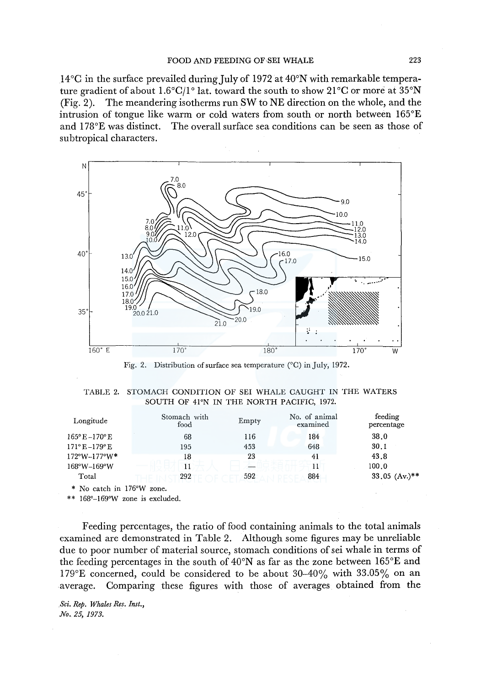l 4°C in the surface prevailed during July of 1972 at 40°N with remarkable temperature gradient of about 1.6 $^{\circ}$ C/l<sup>o</sup> lat. toward the south to show 21 $^{\circ}$ C or more at 35 $^{\circ}$ N (Fig. 2). The meandering isotherms run SW to NE direction on the whole, and the intrusion of tongue like warm or cold waters from south or north between  $165^{\circ}E$ and l 78°E was distinct. The overall surface sea conditions can be seen as those of subtropical characters.



Fig. 2. Distribution of surface sea temperature (°C) in July, 1972.

|  | TABLE 2. STOMACH CONDITION OF SEI WHALE CAUGHT IN THE WATERS |  |  |  |
|--|--------------------------------------------------------------|--|--|--|
|  | SOUTH OF 41°N IN THE NORTH PACIFIC, 1972.                    |  |  |  |

| Longitude                        | Stomach with<br>food | Empty | No. of animal<br>examined | feeding<br>percentage |
|----------------------------------|----------------------|-------|---------------------------|-----------------------|
| $165^{\circ}E - 170^{\circ}E$    | 68                   | 116   | 184                       | 38.0                  |
| $171^{\circ}E - 179^{\circ}E$    | 195                  | 453   | 648                       | 30.1                  |
| $172^{\circ}W - 177^{\circ}W^*$  | 18                   | 23    | 41                        | 43.8                  |
| $168^{\circ}$ W $-169^{\circ}$ W | 11                   |       | 11                        | 100.0                 |
| Total                            | 292                  | 592   | 884                       | $33.05$ (Av.)**       |

\* No catch in l 76°W zone.

\*\* 168°-169°W zone is excluded.

Feeding percentages, the ratio of food containing animals to the total animals examined are demonstrated in Table 2. Although some figures may be unreliable due to poor number of material source, stomach conditions of sei whale in terms of the feeding percentages in the south of 40°N as far as the zone between 165°E and 179°E concerned, could be considered to be about  $30-40\%$  with  $33.05\%$  on an average. Comparing these figures with those of averages obtained from the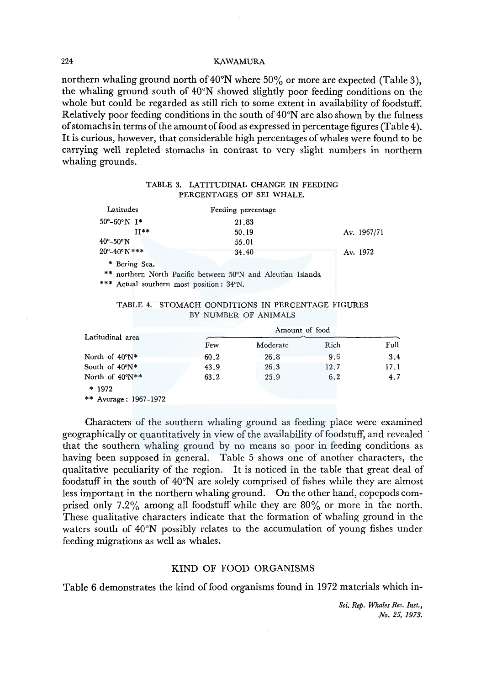northern whaling ground north of 40°N where 50% or more are expected (Table 3), the whaling ground south of 40°N showed slightly poor feeding conditions on the whole but could be regarded as still rich to some extent in availability of foodstuff. Relatively poor feeding conditions in the south of  $40^{\circ}$ N are also shown by the fulness of stomachs in terms of the amount of food as expressed in percentage figures (Table 4 ). It is curious, however, that considerable high percentages of whales were found to be carrying well repleted stomachs in contrast to very slight numbers in northern whaling grounds.

|  | TABLE 3. LATITUDINAL CHANGE IN FEEDING |  |  |  |
|--|----------------------------------------|--|--|--|
|  | PERCENTAGES OF SEI WHALE.              |  |  |  |

| Latitudes                                  | Feeding percentage                                           |             |
|--------------------------------------------|--------------------------------------------------------------|-------------|
| $50^{\circ} - 60^{\circ}$ N I <sup>*</sup> | 21.83                                                        |             |
| $II**$                                     | 50.19                                                        | Av. 1967/71 |
| $40^\circ - 50^\circ N$                    | 55.01                                                        |             |
| $20^{\circ} - 40^{\circ} N$ ***            | 34.40                                                        | Av. 1972    |
| * Bering Sea.                              |                                                              |             |
|                                            | ** northern North Pacific between 50°N and Aleutian Islands. |             |

\*\*\* Actual southern most position: 34°N.

#### TABLE 4. STOMACH CONDITIONS IN PERCENTAGE FIGURES BY NUMBER OF ANIMALS

| Latitudinal area         | Amount of food |          |      |      |  |  |
|--------------------------|----------------|----------|------|------|--|--|
|                          | Few            | Moderate | Rich | Full |  |  |
| North of $40^{\circ}N^*$ | 60.2           | 26.8     | 9.6  | 3.4  |  |  |
| South of $40^{\circ}N^*$ | 43.9           | 26.3     | 12.7 | 17.1 |  |  |
| North of 40°N**          | 63.2           | 25.9     | 6.2  | 4.7  |  |  |
| $*1972$                  |                |          |      |      |  |  |
|                          |                |          |      |      |  |  |

\*\* Average: 1967-1972

Characters of the southern whaling ground as feeding place were examined geographically or quantitatively in view of the availability of foodstuff, and revealed that the southern whaling ground by no means so poor in feeding conditions as having been supposed in general. Table 5 shows one of another characters, the qualitative peculiarity of the region. It is noticed in the table that great deal of foodstuff in the south of 40°N are solely comprised of fishes while they are almost less important in the northern whaling ground. On the other hand, copepods comprised only 7.2% among all foodstuff while they are 80% or more in the north. These qualitative characters indicate that the formation of whaling ground in the waters south of 40°N possibly relates to the accumulation of young fishes under feeding migrations as well as whales.

# KIND OF FOOD ORGANISMS

Table 6 demonstrates the kind of food organisms found in 1972 materials which in-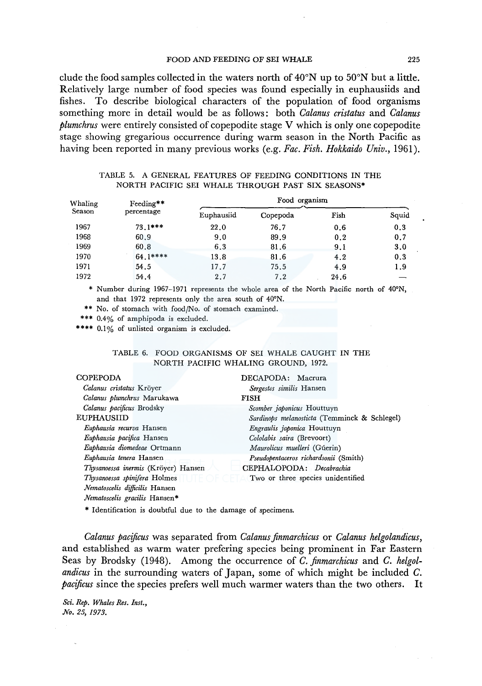## FOOD AND FEEDING OF SEI WHALE 225

clude the food samples collected in the waters north of  $40^{\circ}$ N up to  $50^{\circ}$ N but a little. Relatively large number of food species was found especially in euphausiids and fishes. To describe biological characters of the population of food organisms something more in detail would be as follows: both *Calanus cristatus* and *Calanus plumchrus* were entirely consisted of copepodite stage V which is only one copepodite stage showing gregarious occurrence during warm season in the North Pacific as having been reported in many previous works (e.g. *Fae. Fish. Hokkaido Univ.,* 1961).

## TABLE 5. A GENERAL FEATURES OF FEEDING CONDITIONS IN THE NORTH PACIFIC SEI WHALE THROUGH PAST SIX SEASONS\*

| Whaling | Feeding**  | Food organism |          |      |       |  |  |  |
|---------|------------|---------------|----------|------|-------|--|--|--|
| Season  | percentage | Euphausiid    | Copepoda | Fish | Squid |  |  |  |
| 1967    | $73.1***$  | 22.0          | 76.7     | 0.6  | 0.3   |  |  |  |
| 1968    | 60.9       | 9.0           | 89.9     | 0.2  | 0.7   |  |  |  |
| 1969    | 60.8       | 6.3           | 81.6     | 9.1  | 3.0   |  |  |  |
| 1970    | $64.1***$  | 13.8          | 81.6     | 4.2  | 0.3   |  |  |  |
| 1971    | 54.5       | 17.7          | 75.5     | 4.9  | 1.9   |  |  |  |
| 1972    | 54.4       | 2.7           | 7.2      | 24.6 |       |  |  |  |

\* Number during 1967-1971 represents the whole area of the North Pacific north of 40°N, and that 1972 represents only the area south of 40°N.

\*\* No. of stomach with food/No. of stomach examined.

\*\*\* 0.4% of amphipoda is excluded.

\*\*\*\* 0.1% of unlisted organism is excluded.

#### TABLE 6. FOOD ORGANISMS OF SEI WHALE CAUGHT IN THE NORTH PACIFIC WHALING GROUND, 1972.

| <b>COPEPODA</b>                     | DECAPODA: Macrura                            |
|-------------------------------------|----------------------------------------------|
| Calanus cristatus Kröyer            | Sergestes similis Hansen                     |
| Calanus plumchrus Marukawa          | <b>FISH</b>                                  |
| Calanus pacificus Brodsky           | Scomber japonicus Houttuyn                   |
| <b>EUPHAUSIID</b>                   | Sardinops melanosticta (Temminck & Schlegel) |
| Euphausia recurva Hansen            | Engraulis japonica Houttuyn                  |
| Euphausia pacifica Hansen           | Cololabis saira (Brevoort)                   |
| Euphausia diomedeae Ortmann         | Maurolicus muelleri (Gúerin)                 |
| Euphausia tenera Hansen             | Pseudopentaceros richardsonii (Smith)        |
| Thysanoessa inermis (Kröyer) Hansen | CEPHALOPODA: Decabrachia                     |
| Thysanoessa spinifera Holmes        | Two or three species unidentified            |
| Nematoscelis difficilis Hansen      |                                              |
| Nematoscelis gracilis Hansen*       |                                              |

\* Identification is doubtful due to the damage of specimens.

*Calanus pacificus* was separated from *Calanus finmarchicus* or *Calanus helgolandicus,*  and established as warm water prefering species being prominent in Far Eastern Seas by Brodsky (1948). Among the occurrence of *C. finmarchicus* and *C. helgolandicus* in the surrounding waters of Japan, some of which might be included *C. pacificus* since the species prefers well much warmer waters than the two others. It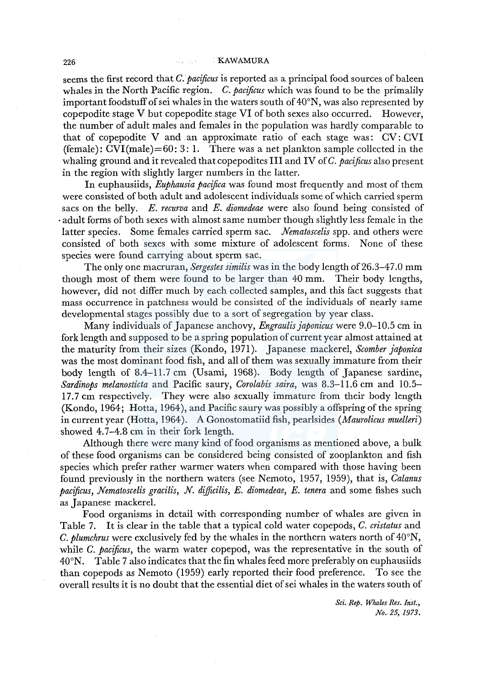#### 226 . KAWAMURA

seems the first record that *C. pacificus* is reported as a principal food sources of baleen whales in the North Pacific region. *C. pacificus* which was found to be the primalily important foodstuff of sei whales in the waters south of 40°N, was also represented by copepodite stage V but copepodite stage VI of both sexes also occurred. However, the number of adult males and females in the population was hardly comparable to that of copepodite V and an approximate ratio of each stage was:  $CV: CVI$ (female):  $CVI(male) = 60: 3: 1$ . There was a net plankton sample collected in the whaling ground and it revealed that copepodites III and IV of *C. pacificus* also present in the region with slightly larger numbers in the latter.

In euphausiids, *Euphausia pacifica* was found most frequently and most of them were consisted of both adult and adolescent individuals some of which carried sperm sacs on the belly. *E. recurva* and *E. diomedeae* were also found being consisted of ·adult forms of both sexes with almost same number though slightly less female in the latter species. Some females carried sperm sac. *Nematoscelis* spp. and others were consisted of both sexes with some mixture of adolescent forms. None of these species were found carrying about sperm sac.

The only one macruran, *Sergestes similis* was in the body length of 26.3–47.0 mm though most of them were found to be larger than 40 mm. Their body lengths, however, did not differ much by each collected samples, and this fact suggests that mass occurrence in patchness would be consisted of the individuals of nearly same developmental stages possibly due to a sort of segregation by year class.

Many individuals of Japanese anchovy, *Engraulisjaponicus* were 9.0-10.5 cm in fork length and supposed to be a spring population of current year almost attained at the maturity from their sizes (Kondo, 1971). Japanese mackerel, *Scomber japonica*  was the most dominant food fish, and all of them was sexually immature from their body length of 8.4-11.7 cm (Usami, 1968). Body length of Japanese sardine, *Sardinops melanosticta* and Pacific saury, *Corolabis saira,* was B.3-11.6 cm and 10.5- 17.7 cm respectively. They were also sexually immature from their body length (Kondo, 1964; Hotta, 1964 ), and Pacific saury was possibly a offspring of the spring in current year (Hotta, 1964 ). A Gonostomatiid fish, pearlsides *(Maurolicus muelleri)*  showed 4.7-4.B cm in their fork length.

Although there were many kind of food organisms as mentioned above, a bulk of these food organisms can be considered being consisted of zooplankton and fish species which prefer rather warmer waters when compared with those having been found previously in the northern waters (see Nemoto, 1957, 1959), that is, *Calanus pacificus, Nematoscelis gracilis, N. dijficilis, E. diomedeae, E. tenera* and some fishes such as Japanese mackerel.

Food organisms in detail with corresponding number of whales are given in Table 7. It is clear in the table that a typical cold water copepods, *C. cristatus* and *C. plumchrus* were exclusively fed by the whales in the northern waters north of 40°N, while *C. pacificus,* the warm water copepod, was the representative in the south of 40°N. Table 7 also indicates that the fin whales feed more preferably on euphausiids than copepods as Nemoto (1959) early reported their food preference. To see the overall results it is no doubt that the essential diet of sei whales in the waters south of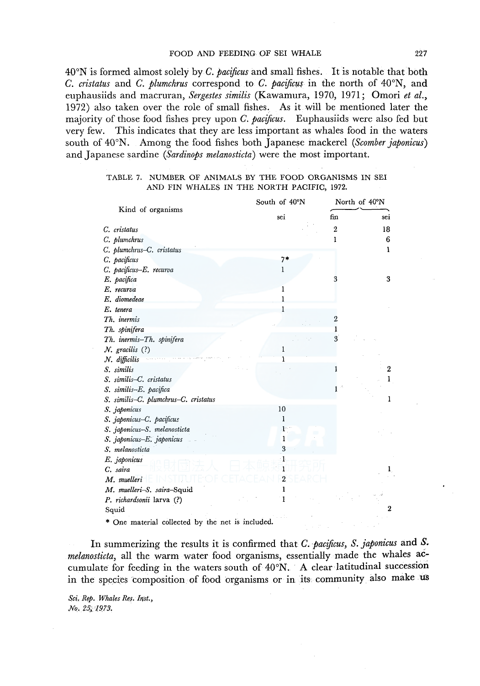#### FOOD AND FEEDING OF SEI WHALE 227

40°N is formed almost solely by *C. pacificus* and small fishes. It is notable that both *C. cristatus* and *C. plumchrus* correspond to *C. pacificus* in the north of 40°N, and euphausiids and macruran, *Sergestes similis* (Kawamura, 1970, 1971; Omori *et al.,*  1972) also taken over the role of small fishes. As it will be mentioned later the majority of those food fishes prey upon *C. pacificus.* Euphausiids were also fed but very few. This indicates that they are less important as whales food in the waters south of 40°N. Among the food fishes both Japanese mackerel *(Scomber japonicus)*  and Japanese sardine *(Sardinops melanosticta)* were the most important.

#### TABLE 7. NUMBER OF ANIMALS BY THE FOOD ORGANISMS IN SEI AND FIN WHALES IN THE NORTH PACIFIC, 1972.

|                                                  | South of 40°N |                  | North of 40°N    |  |  |
|--------------------------------------------------|---------------|------------------|------------------|--|--|
| Kind of organisms                                | sei           | fin              | sei              |  |  |
| C. cristatus                                     |               | $\boldsymbol{2}$ | 18               |  |  |
| C. plumchrus                                     |               | 1                | 6                |  |  |
| C. plumchrus-C. cristatus                        |               |                  | 1                |  |  |
| C. pacificus                                     | $7*$          |                  |                  |  |  |
| C. pacificus-E. recurva                          | 1             |                  |                  |  |  |
| E. pacifica                                      |               | З                | 3                |  |  |
| E. recurva                                       | 1             |                  |                  |  |  |
| E. diomedeae                                     | 1             |                  |                  |  |  |
| E. tenera                                        | 1             |                  |                  |  |  |
| Th. inermis                                      |               | 2                |                  |  |  |
| Th. spinifera                                    |               | 1                |                  |  |  |
| Th. inermis-Th. spinifera                        |               | 3                |                  |  |  |
| $N.$ gracilis $(?)$                              | 1             |                  |                  |  |  |
| N. difficilis                                    |               |                  |                  |  |  |
| S. similis                                       |               | ı                | $\boldsymbol{2}$ |  |  |
| S. similis-C. cristatus                          |               |                  | 1                |  |  |
| S. similis-E. pacifica                           |               | 1                |                  |  |  |
| S. similis-C. plumchrus-C. cristatus             |               |                  | 1                |  |  |
| S. japonicus                                     | 10            |                  |                  |  |  |
| S. japonicus-C. pacificus                        | 1             |                  |                  |  |  |
| S. japonicus-S. melanosticta                     | ŀ.            |                  |                  |  |  |
| S. japonicus-E. japonicus                        | 1             |                  |                  |  |  |
| S. melanosticta                                  | 3             |                  |                  |  |  |
| E. japonicus                                     |               |                  |                  |  |  |
| C. saira                                         |               |                  | 1                |  |  |
| M. muelleri                                      |               |                  |                  |  |  |
| M. muelleri-S. saira-Squid                       |               |                  |                  |  |  |
| P. richardsonii larva (?)                        |               |                  |                  |  |  |
| Squid                                            |               |                  | $\overline{2}$   |  |  |
| * One material collected by the net is included. |               |                  |                  |  |  |

In summerizing the results it is confirmed that *C. pacificus, S. japonicus* and *S. melanosticta,* all the warm water food organisms, essentially made the whales accumulate for feeding in the waters south of 40°N. A clear latitudinal succession in the species composition of food organisms or in its community also make us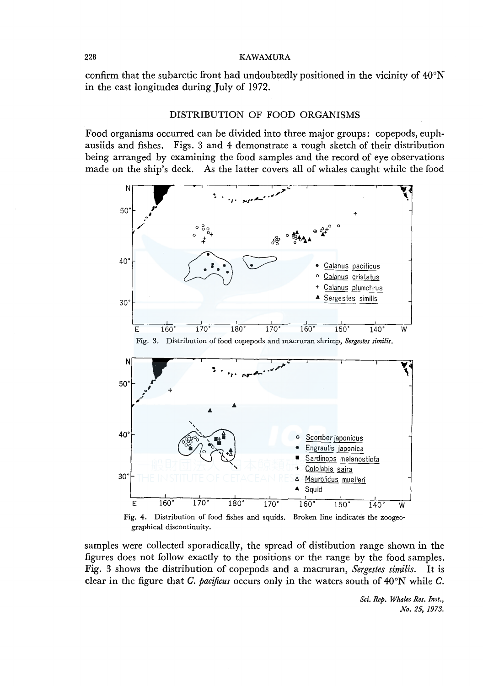confirm that the subarctic front had undoubtedly positioned in the vicinity of  $40^{\circ}$ N in the east longitudes during July of 1972.

#### DISTRIBUTION OF FOOD ORGANISMS

Food organisms occurred can be divided into three major groups: copepods, euphausiids and fishes. Figs. 3 and 4 demonstrate a rough sketch of their distribution being arranged by examining the food samples and the record of eye observations made on the ship's deck. As the latter covers all of whales caught while the food



graphical discontinuity.

samples were collected sporadically, the spread of distibution range shown in the figures does not follow exactly to the positions or the range by the food samples. Fig. 3 shows the distribution of copepods and a macruran, *Sergestes similis.* It is clear in the figure that C. *pacificus* occurs only in the waters south of 40°N while C.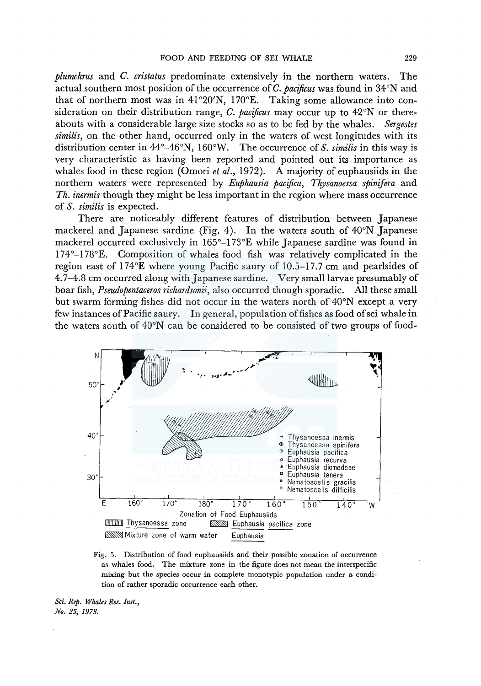*plumchrus* and *C. cristatus* predominate extensively in the northern waters. The actual southern most position of the occurrence of C. *pacificus* was found in 34°N and that of northern most was in  $41^{\circ}20'N$ ,  $170^{\circ}E$ . Taking some allowance into consideration on their distribution range, C. *pacificus* may occur up to 42°N or thereabouts with a considerable large size stocks so as to be fed by the whales. *Sergestes similis,* on the other hand, occurred only in the waters of west longitudes with its distribution center in 44°-46°N, 160°W. The occurrence of *S. similis* in this way is very characteristic as having been reported and pointed out its importance as whales food in these region (Omori *et al.,* 1972). A majority of euphausiids in the northern waters were represented by *Euphausia pacifica, Thysanoessa spinifera* and *Th. inermis* though they might be less important in the region where mass occurrence of *S. similis* is expected.

There are noticeably different features of distribution between Japanese mackerel and Japanese sardine (Fig. 4). In the waters south of 40°N Japanese mackerel occurred exclusively in  $165^{\circ}-173^{\circ}E$  while Japanese sardine was found in 174°-l 78°E. Composition of whales food fish was relatively complicated in the region east of 174°E where young Pacific saury of 10.5-17. 7 cm and pearlsides of 4.7-4.8 cm occurred along with Japanese sardine. Very small larvae presumably of boar fish, *Pseudopentaceros richardsonii,* also occurred though sporadic. All these small but swarm forming fishes did not occur in the waters north of 40°N except a very few instances of Pacific saury. In general, population of fishes as food ofsei whale in the waters south of 40°N can be considered to be consisted of two groups of food-



Fig. 5. Distribution of food euphausiids and their possible zonation of occurrence as whales food. The mixture zone in the figure does not mean the interspecific mixing but the species occur in complete monotypic population under a condition of rather sporadic occurrence each other.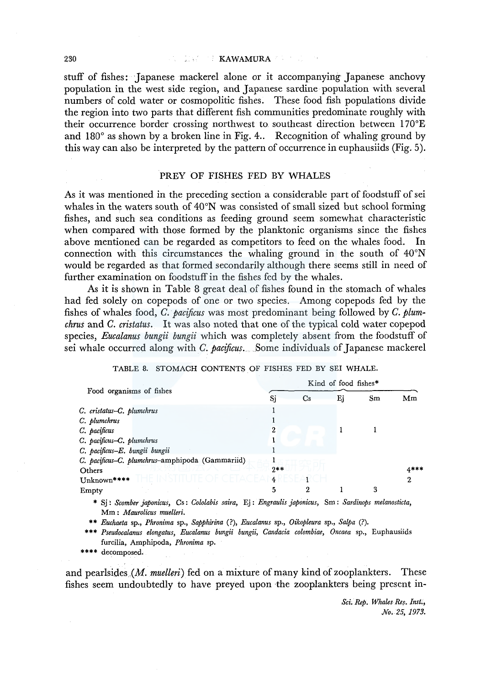stuff of fishes: Japanese mackerel alone or it accompanying Japanese anchovy population in the west side region, and Japanese sardine population with several numbers of cold water or cosmopolitic fishes. These food fish populations divide the region into two parts that different fish communities predominate roughly with their occurrence border crossing northwest to. southeast direction between 170°E and  $180^\circ$  as shown by a broken line in Fig. 4.. Recognition of whaling ground by this way can also be interpreted by the pattern of occurrence in euphausiids (Fig. 5).

#### PREY OF FISHES FED BY WHALES

As it was mentioned in the preceding section a considerable part of foodstuff of sei whales in the waters south of 40°N was consisted of small sized but school forming fishes, and such sea conditions as feeding ground seem somewhat characteristic when compared with those formed by the planktonic organisms since the fishes above mentioned can be regarded as competitors to feed on the whales food. In connection with this circumstances the whaling ground in the south of  $40^{\circ}$ N would be regarded as that formed secondarily although there seems still in need of further examination on foodstuff in the fishes fed by the whales.

As it is shown in Table 8 great deal of fishes found in the stomach of whales had fed solely on copepods of one or two species. Among copepods fed by the fishes of whales food, *C. pacificus* was most predominant being followed by *C. plumchrus* and *C. cristatus.* It was also noted that one of the typical cold water copepod species, *Eucalanus bungii bungii* which was completely absent from the foodstuff of sei whale occurred along with *C. pacificus.* Some individuals of Japanese mackerel

|  | TABLE 8. STOMACH CONTENTS OF FISHES FED BY SEI WHALE. |  |  |  |
|--|-------------------------------------------------------|--|--|--|
|  |                                                       |  |  |  |

| Food organisms of fishes                        |       | NING OF 100G HSHES |    |    |        |
|-------------------------------------------------|-------|--------------------|----|----|--------|
|                                                 | Sj    | Cs                 | Ej | Sm | Mm     |
| C. cristatus-C. plumchrus                       |       |                    |    |    |        |
| C. plumchrus                                    |       |                    |    |    |        |
| C. pacificus                                    | 2     |                    |    |    |        |
| C. pacificus-C. plumchrus                       |       |                    |    |    |        |
| C. pacificus-E. bungii bungii                   |       |                    |    |    |        |
| C. pacificus-C. plumchrus-amphipoda (Gammariid) |       |                    |    |    |        |
| Others                                          | $9**$ |                    |    |    | $4***$ |
| Unknown****                                     | 4     |                    |    |    | 2      |
| Empty                                           | 5     | 2                  |    | 3  |        |
|                                                 |       |                    |    |    |        |

\* Sj: *Scomber japonicus,* Cs: *Cololabis saira,* Ej: *Engraulis japonicus,* Sm: *Sardinops melanosticta,*  Mm : *Maurolicus muelleri.* 

\*\* *Euchaeta* sp., *Phronima* sp., *Sapphirina* (?), *Eucalanus* sp., *Oikopleura* sp., *Salpa* (?).

\*\*\* *Pseudocalanus elongatus, Eucalanus bungii bungii, Candacia colombiae, Oncaea* sp., Euphausiids furcilia, Amphipoda, *Phronima* sp.

\*\*\*\* decomposed.

and pearlsides *(M. muelleri)* fed on a mixture of many kind of zooplankters. These fishes seem undoubtedly to have preyed upon the zooplankters being present in-

> *Sci. R.ep. Whales R.es. Inst., No. 25, 1973.*

 $K^*$  in  $A \rightarrow R^*$  food  $f \in A$  is state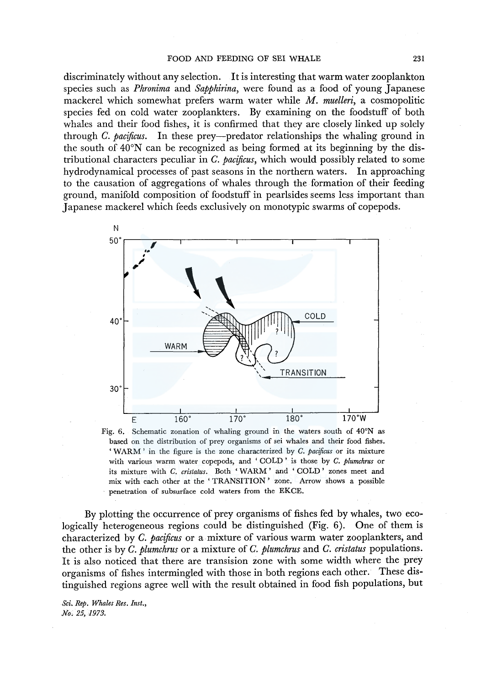#### FOOD AND FEEDING OF SEI WHALE 231

discriminately without any selection. It is interesting that warm water zooplankton species such as *Phronima* and *Sapphirina,* were found as a food of young Japanese mackerel which somewhat prefers warm water while *M. muelleri,* a cosmopolitic species fed on cold water zooplankters. By examining on the foodstuff of both whales and their food fishes, it is confirmed that they are closely linked up solely through *C. pacificus.* In these prey-predator relationships the whaling ground in the south of 40°N can be recognized as being formed at its beginning by the distributional characters peculiar in *C. pacificus,* which would possibly related to some hydrodynamical processes of past seasons in the northern waters. In approaching to the causation of aggregations of whales through the formation of their feeding ground, manifold composition of foodstuff in pearlsides seems less important than Japanese mackerel which feeds exclusively on monotypic swarms of copepods.



Fig. 6. Schematic zonation of whaling ground in the waters south of 40°N as based on the distribution of prey organisms of sei whales and their food fishes. 'WARM' in the figure is the zone characterized by *C. pacificus* or its mixture with various warm water copepods, and ' COLD ' is those by *C. plumchrus* or its mixture with *C. cristatus.* Both 'WARM' and 'COLD' zones meet and mix with each other at the ' TRANSITION' zone. Arrow shows a possible penetration of subsurface cold waters from the EKCE.

By plotting the occurrence of prey organisms of fishes fed by whales, two ecologically heterogeneous regions could be distinguished (Fig. 6). One of them is characterized by *C. pacificus* or a mixture of various warm water zooplankters, and the other is by *C. plumchrus* or a mixture of *C. plumchrus* and *C. cristatus* populations. It is also noticed that there are transision zone with some width where the prey organisms of fishes intermingled with those in both regions each other. These distinguished regions agree well with the result obtained in food fish populations, but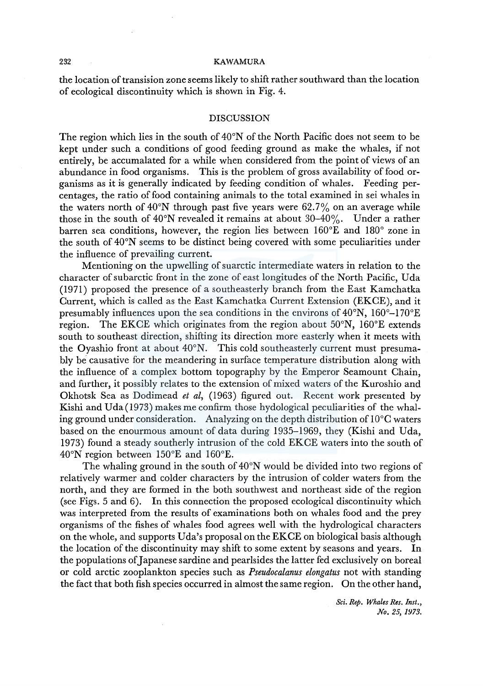the location of transision zone seems likely to shift rather southward than the location of ecological discontinuity which is shown in Fig. 4.

## DISCUSSION

The region which lies in the south of  $40^{\circ}$ N of the North Pacific does not seem to be kept under such a conditions of good feeding ground as make the whales, if not entirely, be accumalated for a while when considered from the point of views of an abundance in food organisms. This is the problem of gross availability of food organisms as it is generally indicated by feeding condition of whales. Feeding percentages, the ratio of food containing animals to the total examined in sei whales in the waters north of  $40^{\circ}$ N through past five years were 62.7% on an average while those in the south of  $40^{\circ}$ N revealed it remains at about  $30-40\%$ . Under a rather barren sea conditions, however, the region lies between 160°E and 180° zone in the south of 40°N seems to be distinct being covered with some peculiarities under the influence of prevailing current.

Mentioning on the upwelling of suarctic intermediate waters in relation to the character of subarctic front in the zone of east longitudes of the North Pacific, Uda (1971) proposed the presence of a southeasterly branch from the East Kamchatka Current, which is called as the East Kamchatka Current Extension (EKCE), and it presumably influences upon the sea conditions in the environs of  $40^{\circ}$ N,  $160^{\circ}$ – $170^{\circ}$ E region. The EKCE which originates from the region about 50°N, 160°E extends south to southeast direction, shifting its direction more easterly when it meets with the Oyashio front at about 40°N. This cold southeasterly current must presumably be causative for the meandering in surface temperature distribution along with the influence of a complex bottom topography by the Emperor Seamount Chain, and further, it possibly relates to the extension of mixed waters of the Kuroshio and Okhotsk Sea as Dodimead *et al,* (1963) figured out. Recent work presented by Kishi and Uda(1973) makes me confirm those hydological peculiarities of the whaling ground under consideration. Analyzing on the depth distribution of 10°C waters based on the enourmous amount of data during 1935-1969, they (Kishi and Uda, 1973) found a steady southerly intrusion of the cold EKCE waters into the south of 40°N region between 150°E and 160°E.

The whaling ground in the south of 40°N would be divided into two regions of relatively warmer and colder characters by the intrusion of colder waters from the north, and they are formed in the both southwest and northeast side of the region (see Figs. 5 and 6). In this connection the proposed ecological discontinuity which was interpreted from the results of examinations both on whales food and the prey organisms of the fishes of whales food agrees well with the hydrological characters on the whole, and supports Uda's proposal on the EKCE on biological basis although the location of the discontinuity may shift to some extent by seasons and years. In the populations of Japanese sardine and pearlsides the latter fed exclusively on boreal or cold arctic zooplankton species such as *Pseudocalanus elongatus* not with standing the fact that both fish species occurred in almost the same region. On the other hand,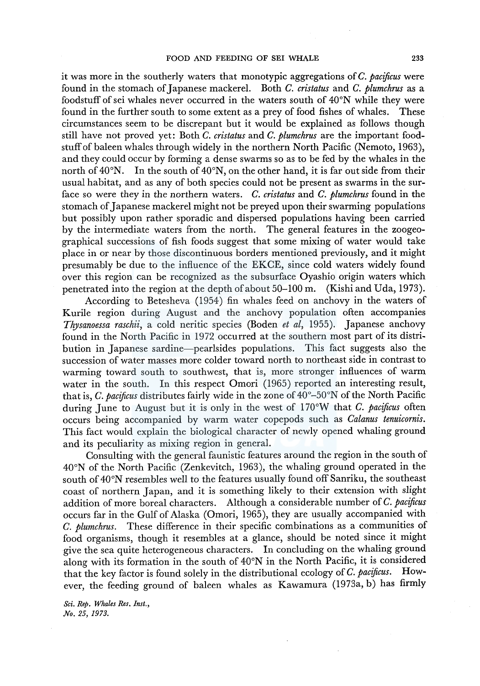it was more in the southerly waters that monotypic aggregations of *C. pacificus* were found in the stomach of Japanese mackerel. Both *C. cristatus* and *C. plumchrus* as a foodstuff of sei whales never occurred in the waters south of 40°N while they were found in the further south to some extent as a prey of food fishes of whales. These circumstances seem to be discrepant but it would be explained as follows though still have not proved yet: Both *C. cristatus* and *C. plumchrus* are the important foodstuff of baleen whales through widely in the northern North Pacific (Nemoto, 1963), and they could occur by forming a dense swarms so as to be fed by the whales in the north of  $40^{\circ}$ N. In the south of  $40^{\circ}$ N, on the other hand, it is far out side from their usual habitat, and as any of both species could not be present as swarms in the surface so were they in the northern waters. *C. cristatus* and *C. plumchrus* found in the stomach of Japanese mackerel might not be preyed upon their swarming populations but possibly upon rather sporadic and dispersed populations having been carried by the intermediate waters from the north. The general features in the zoogeographical successions of fish foods suggest that some mixing of water would take place in or near by those discontinuous borders mentioned previously, and it might presumably be due to the influence of the EKCE, since cold waters widely found over this region can be recognized as the subsurface Oyashio origin waters which penetrated into the region at the depth ofabout 50-100 m. (Kishi and Uda, 1973).

According to Betesheva (1954) fin whales feed on anchovy in the waters of Kurile region during August and the anchovy population often accompanies *Thysanoessa raschii, a cold neritic species (Boden <i>et al, 1955)*. Japanese anchovy found in the North Pacific in 1972 occurred at the southern most part of its distribution in Japanese sardine-pearlsides populations. This fact suggests also the succession of water masses more colder toward north to northeast side in contrast to warming toward south to southwest, that is, more stronger influences of warm water in the south. In this respect Omori (1965) reported an interesting result, that is, *C. pacificus* distributes fairly wide in the zone of 40°-50°N of the North Pacific during June to August but it is only in the west of 170°W that *C. pacificus* often occurs being accompanied by warm water copepods such as *Calanus tenuicornis.*  This fact would explain the biological character of newly opened whaling ground and its peculiarity as mixing region in general.

Consulting with the general faunistic features around the region in the south of 40°N of the North Pacific (Zenkevitch, 1963), the whaling ground operated in the south of 40°N resembles well to the features usually found off Sanriku, the southeast coast of northern Japan, and it is something likely to their extension with slight addition of more boreal characters. Although a considerable number of *C. pacificus*  occurs far in the Gulf of Alaska (Omori, 1965), they are usually accompanied with *C. plumchrus.* These difference in their specific combinations as a communities of food organisms, though it resembles at a glance, should be noted since it might give the sea quite heterogeneous characters. In concluding on the whaling ground along with its formation in the south of 40°N in the North Pacific, it is considered that the key factor is found solely in the distributional ecology of *C. pacificus.* However, the feeding ground of baleen whales as Kawamura (1973a, b) has firmly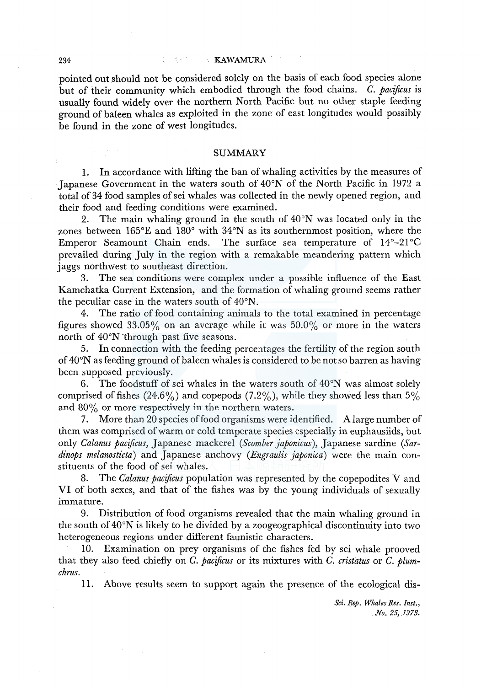pointed out should not be considered solely on the basis of each food species alone but of their community which embodied through the food chains. *C. pacificus* is usually found widely over the northern North Pacific but no other staple feeding ground of baleen whales as exploited in the zone of east longitudes would possibly be found in the zone of west longitudes.

### SUMMARY

1. In accordance with lifting the ban of whaling activities by the measures of Japanese Government in the waters south of 40°N of the North Pacific in 1972 a total of 34 food samples of sei whales was collected in the newly opened region, and their food and feeding conditions were examined.

2. The main whaling ground in the south of 40°N was located only in the zones between 165°E and 180° with 34°N as its southernmost position, where the Emperor Seamount Chain ends. The surface sea temperature of 14°-21°C prevailed during July in the region with a remakable meandering pattern which jaggs northwest to southeast direction.

3. The sea conditions were complex under a possible influence of the East Kamchatka Current Extension, and the formation of whaling ground seems rather the peculiar case in the waters south of 40°N.

4. The ratio of food containing animals to the total examined in percentage figures showed  $33.05\%$  on an average while it was  $50.0\%$  or more in the waters north of 40°N "through past five seasons.

5. In connection with the feeding percentages the fertility of the region south of 40°N as feeding ground of baleen whales is considered to be not so barren as having been supposed previously.

6. The foodstuff of sei whales in the waters south of  $40^{\circ}$ N was almost solely comprised of fishes  $(24.6\%)$  and copepods  $(7.2\%)$ , while they showed less than 5% and  $80\%$  or more respectively in the northern waters.

7. More than 20 species of food organisms were identified. A large number of them was comprised of warm or cold temperate species especially in euphausiids, but only *Calanus pacificus,* Japanese mackerel *(Scomber japonicus),* Japanese sardine *(Sardinops melanosticta)* and Japanese anchovy *(Engraulis japonica)* were the main constituents of the food of sei whales.

8. The *Calanus pacificus* population was represented by the copepodites V and VI of both sexes, and that of the fishes was by the young individuals of sexually immature.

9. Distribution of food organisms revealed that the main whaling ground in the south of  $40^{\circ}$ N is likely to be divided by a zoogeographical discontinuity into two heterogeneous regions under different faunistic characters.

10. Examination on prey organisms of the fishes fed by sei whale prooved that they also feed chiefly on *C. pacificus* or its mixtures with *C. cristatus* or *C. plumchrus.* 

11. Above results seem to support again the presence of the ecological dis-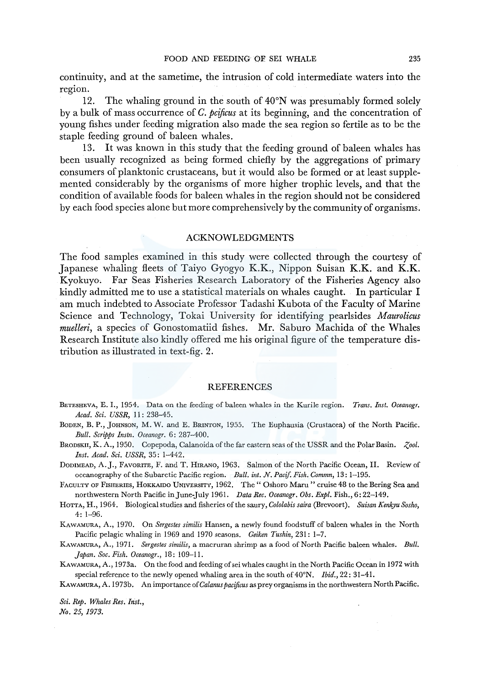continuity, and at the sametime, the intrusion of cold intermediate waters into the region.

12. The whaling ground in the south of 40°N was presumably formed solely by a bulk of mass occurrence of *C. pcificus* at its beginning, and the concentration of young fishes under feeding migration also made the sea region so fertile as to be the staple feeding ground of baleen whales.

13. It was known in this study that the feeding ground of baleen whales has been usually recognized as being formed chiefly by the aggregations of primary consumers of planktonic crustaceans, but it would also be formed or at least supplemented considerably by the organisms of more higher trophic levels, and that the condition of available foods for baleen whales in the region should not be considered by each food species alone but more comprehensively by the community of organisms.

#### ACKNOWLEDGMENTS

The food samples examined in this study were collected through the courtesy of Japanese whaling fleets of Taiyo Gyogyo K.K., Nippon Suisan K.K. and K.K. Kyokuyo, Far Seas Fisheries Research Laboratory of the Fisheries Agency also kindly admitted me to use a statistical materials on whales caught. In particular I am much indebted to Associate Professor Tadashi Kubota of the Faculty of Marine Science and Technology, Tokai University for identifying pearlsides *Maurolicus muelleri,* a species of Gonostomatiid fishes. Mr. Saburo Machida of the Whales Research Institute also kindly offered me his original figure of the temperature distribution as illustrated in text-fig. 2.

## REFERENCES

- BETESHEVA, E. I., 1954. Data on the feeding of baleen whales in the Kurile region. *Trans. Inst. Oceanogr. Acad. Sci. USSR,* I I: 238-45.
- BODEN, B. P., JOHNSON, M. W. and E. BRINTON, 1955. The Euphausia (Crustacea) of the North Pacific. *Bull. Scripps Instn. Oceanogr.* 6: 287-400.
- BRODSKII, K. A., 1950. Copepoda, Calanoida of the far eastern seas of the USSR and the Polar Basin. *Zool. Inst. Acad. Sci. USSR,* 35: 1-442.
- DODIMEAD, A.J., FAVORITE, F. and T. HIRANO, 1963. Salmon of the North Pacific Ocean, II. Review of oceanography of the Subarctic Pacific region. *Bull. int. N. Pacif. Fish. Commn,* 13: 1-195.

FACULTY OF FISHERIES, HOKKAIDO UNIVERSITY, 1962. The" Oshoro Maru" cruise 48 to the Bering Sea and northwestern North Pacific inJune-July 1961. *Data Ree. Oceanogr. Obs. Expl.* Fish., 6: 22-149.

- HoTTA, H., 1964. Biological studies and fisheries of the saury, *Cololabis saira* (Brevoort). *Suisan Kenkyu Sosho,*  4: 1-96.
- KAWAMURA, A., 1970. On *Sergestes similis* Hansen, a newly found foodstuff of baleen whales in the North Pacific pelagic whaling in 1969 and 1970 seasons. *Geiken Tushin,* 231: 1-7.
- KAWAMURA, A., 1971. *Sergestes similis,* a macruran shrimp as a food of North Pacific baleen whales. *Bull. Japan. Soc. Fish. Oceanogr.,* 18: 109-11.
- KAWAMURA, A., 1973a. On the food and feeding of sei whales caught in the North Pacific Ocean in 1972 with special reference to the newly opened whaling area in the south of 40°N. *Ibid.,* 22: 31-41.
- KAWAMURA, A. l 973b. An importance of *Calanus pacijicus* as prey organisms in the northwestern North Pacific.